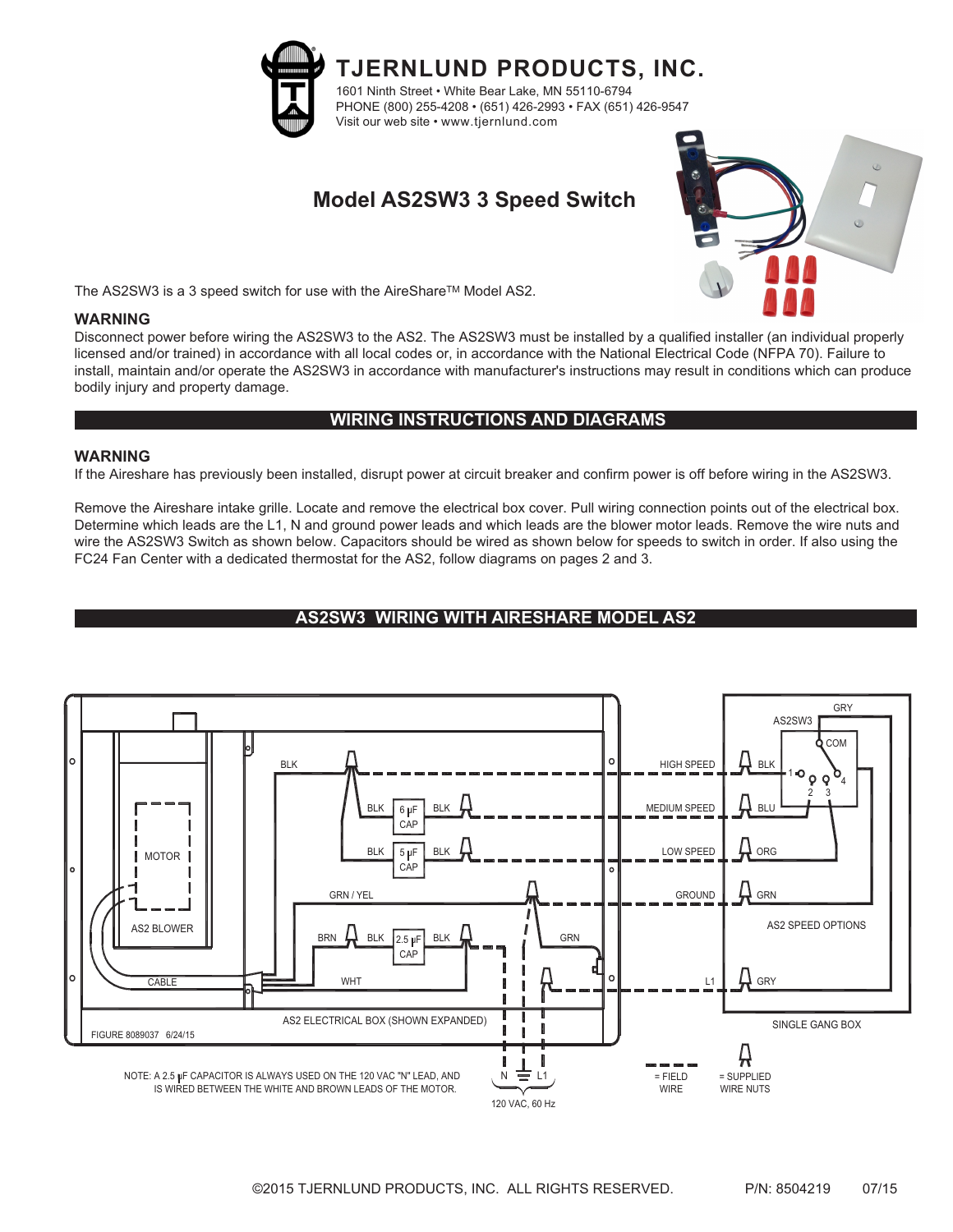

**TJERNLUND PRODUCTS, INC.** 1601 Ninth Street • White Bear Lake, MN 55110-6794 PHONE (800) 255-4208 • (651) 426-2993 • FAX (651) 426-9547 Visit our web site • www.tjernlund.com

# **Model AS2SW3 3 Speed Switch**



The AS2SW3 is a 3 speed switch for use with the AireShare™ Model AS2.

#### **WARNING**

Disconnect power before wiring the AS2SW3 to the AS2. The AS2SW3 must be installed by a qualified installer (an individual properly licensed and/or trained) in accordance with all local codes or, in accordance with the National Electrical Code (NFPA 70). Failure to install, maintain and/or operate the AS2SW3 in accordance with manufacturer's instructions may result in conditions which can produce bodily injury and property damage.

## **WIRING INSTRUCTIONS AND DIAGRAMS**

#### **WARNING**

If the Aireshare has previously been installed, disrupt power at circuit breaker and confirm power is off before wiring in the AS2SW3.

Remove the Aireshare intake grille. Locate and remove the electrical box cover. Pull wiring connection points out of the electrical box. Determine which leads are the L1, N and ground power leads and which leads are the blower motor leads. Remove the wire nuts and wire the AS2SW3 Switch as shown below. Capacitors should be wired as shown below for speeds to switch in order. If also using the FC24 Fan Center with a dedicated thermostat for the AS2, follow diagrams on pages 2 and 3.

## **AS2SW3 WIRING WITH AIRESHARE MODEL AS2**

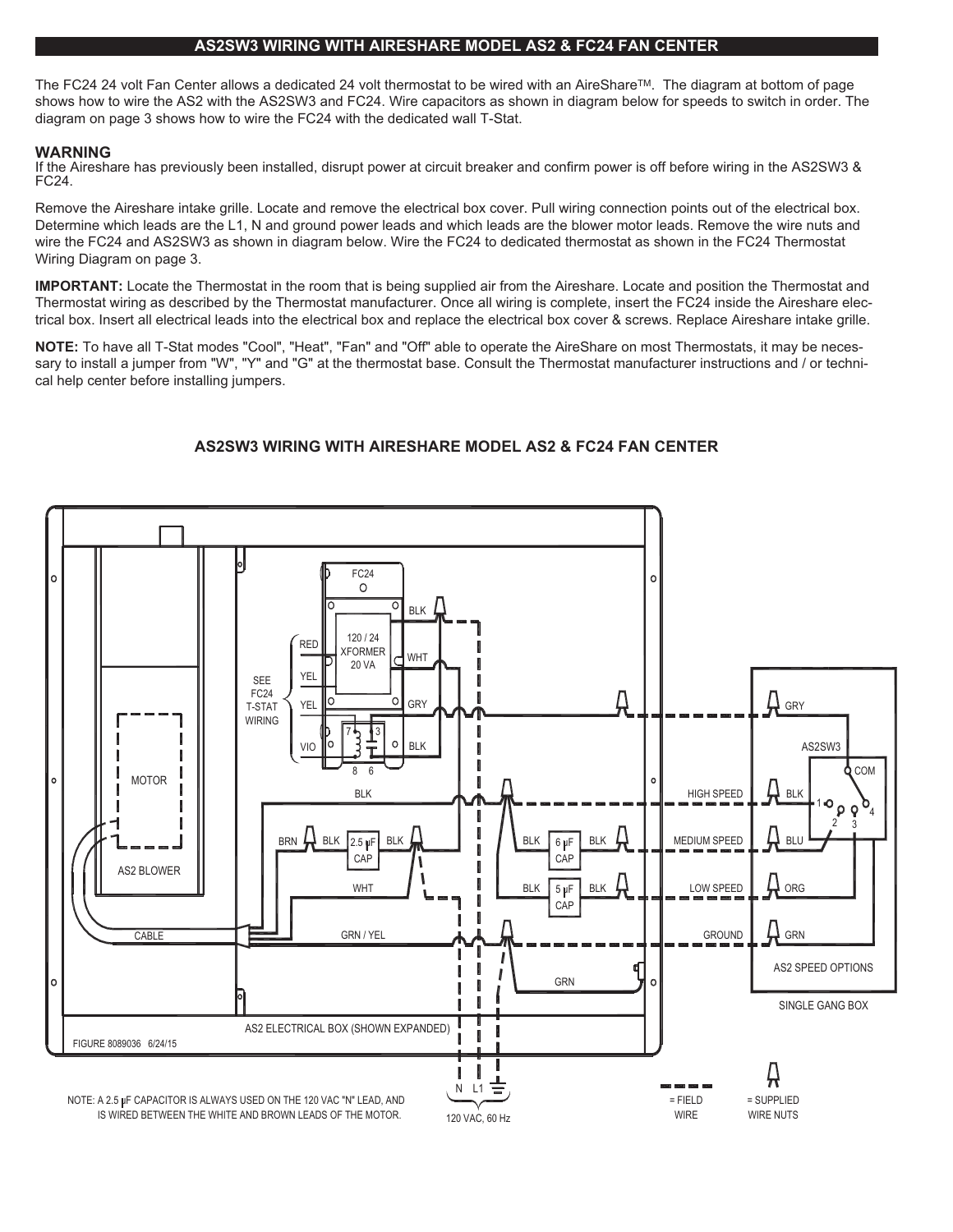#### **AS2SW3 WIRING WITH AIRESHARE MODEL AS2 & FC24 FAN CENTER**

The FC24 24 volt Fan Center allows a dedicated 24 volt thermostat to be wired with an AireShare™. The diagram at bottom of page shows how to wire the AS2 with the AS2SW3 and FC24. Wire capacitors as shown in diagram below for speeds to switch in order. The diagram on page 3 shows how to wire the FC24 with the dedicated wall T-Stat.

#### **WARNING**

If the Aireshare has previously been installed, disrupt power at circuit breaker and confirm power is off before wiring in the AS2SW3 & FC24.

Remove the Aireshare intake grille. Locate and remove the electrical box cover. Pull wiring connection points out of the electrical box. Determine which leads are the L1, N and ground power leads and which leads are the blower motor leads. Remove the wire nuts and wire the FC24 and AS2SW3 as shown in diagram below. Wire the FC24 to dedicated thermostat as shown in the FC24 Thermostat Wiring Diagram on page 3.

**IMPORTANT:** Locate the Thermostat in the room that is being supplied air from the Aireshare. Locate and position the Thermostat and Thermostat wiring as described by the Thermostat manufacturer. Once all wiring is complete, insert the FC24 inside the Aireshare electrical box. Insert all electrical leads into the electrical box and replace the electrical box cover & screws. Replace Aireshare intake grille.

**NOTE:** To have all T-Stat modes "Cool", "Heat", "Fan" and "Off" able to operate the AireShare on most Thermostats, it may be necessary to install a jumper from "W", "Y" and "G" at the thermostat base. Consult the Thermostat manufacturer instructions and / or technical help center before installing jumpers.

### **AS2SW3 WIRING WITH AIRESHARE MODEL AS2 & FC24 FAN CENTER**